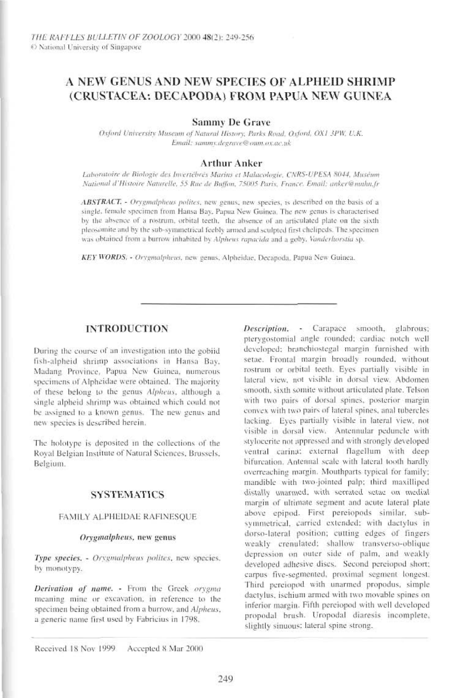# A NEW GENUS AND NEW SPECIES OF ALPHEID SHRIMP (CRUSTACEA: DECAPODA) FROM PAPUA NEW GUINEA

**Sammy De Grave** 

Osford University Museum of Natural History, Parks Road, Oxford, OX1 3PW, U.K. Email: sammy.degrave@oum.ox.ac.uk

# **Arthur Anker**

Laboratoire de Biologie des Invertébrés Marins et Malacologie, CNRS-UPESA 8044, Muséum National d'Histoire Naturelle, 55 Rue de Buffon, 75005 Paris, France, Email: anker@muhn.fr

ABSTRACT. - Orygmalpheus polites, new genus, new species, is described on the basis of a single, female specimen from Hansa Bay, Papua New Guinea, The new genus is characterised by the absence of a rostrum, orbital teeth, the absence of an articulated plate on the sixth pleosamite and by the sub-symmetrical feebly armed and sculpted first chelipeds. The specimen was obtained from a burrow inhabited by Alpheus rapacida and a goby. Vanderhorstia sp.

KEY WORDS. - Orygmalpheus, new genus, Alpheidae, Decapoda, Papua New Guinea.

# **INTRODUCTION**

During the course of an investigation into the gobiid fish-alpheid shrimp associations in Hansa Bay, Madang Province, Papua New Guinea, numerous specimens of Alpheidae were obtained. The majority of these belong to the genus Alpheus, although a single alpheid shrimp was obtained which could not be assigned to a known genus. The new genus and new species is described herein.

The holotype is deposited in the collections of the Royal Belgian Institute of Natural Sciences, Brussels, Belgium.

# **SYSTEMATICS**

#### FAMILY ALPHEIDAE RAFINESQUE

#### Orygmalpheus, new genus

Type species. - Orygmalpheus polites, new species. by monotypy,

Derivation of name. - From the Greek orygma meaning mine or excavation, in reference to the specimen being obtained from a burrow, and Alpheus. a generic name first used by Fabricius in 1798.

Description. - Carapace smooth, glabrous: ptervgostomial angle rounded; cardiac notch well developed; branchiostegal margin furnished with setae. Frontal margin broadly rounded, without rostrum or orbital teeth. Eyes partially visible in lateral view, not visible in dorsal view. Abdomen smooth, sixth somite without articulated plate. Telson with two pairs of dorsal spines, posterior margin convex with two pairs of lateral spines, anal tubercles lacking. Eyes partially visible in lateral view, not visible in dorsal view. Antennular peduncle with stylocerite not appressed and with strongly developed ventral carina: external flagellum with deep bifurcation. Antennal scale with lateral tooth hardly. overreaching margin. Mouthparts typical for family; mandible with two-jointed palp; third maxilliped distally unarmed, with serrated setae on medial margin of ultimate segment and acute lateral plate above epipod. First pereiopods similar, subsymmetrical, carried extended; with dactylus in dorso-lateral position; cutting edges of fingers weakly crenulated; shallow transverso-oblique depression on outer side of palm, and weakly developed adhesive dises. Second pereiopod short; carpus five-segmented, proximal segment longest. Third pereiopod with unarmed propodus, simple dactylus, ischium armed with two movable spines on inferior margin. Fifth perciopod with well developed propodal brush. Uropodal diaresis incomplete, slightly sinuous: lateral spine strong.

Received 18 Nov 1999 Accepted 8 Mar 2000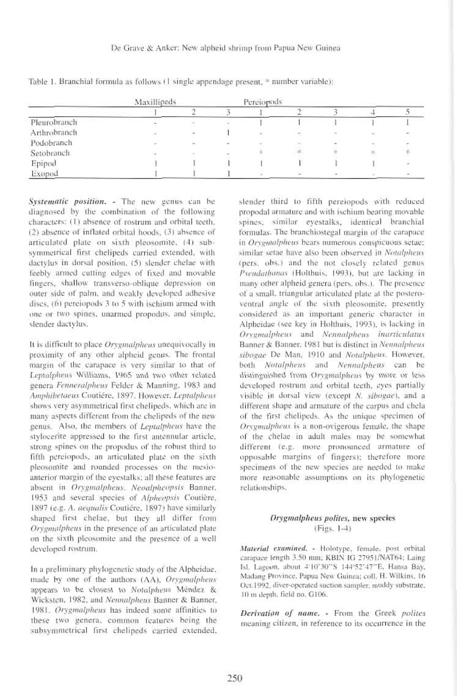#### De Grave & Anker: New alpheid shrimp from Papua New Guinea

|              | Maxillipeds                                                                                    |   | Pereiopods               |    |    |                          |        |    |
|--------------|------------------------------------------------------------------------------------------------|---|--------------------------|----|----|--------------------------|--------|----|
|              |                                                                                                |   |                          |    |    |                          |        |    |
| Pleurobranch |                                                                                                |   |                          |    |    |                          |        |    |
| Arthrobranch | $\frac{1}{2} \left( \frac{1}{2} \right) \left( \frac{1}{2} \right) \left( \frac{1}{2} \right)$ | - |                          | ž, | ÷  | $\overline{\phantom{a}}$ |        |    |
| Podobranch   |                                                                                                |   | $\overline{\phantom{a}}$ | ÷  |    | $\overline{\phantom{a}}$ | $\sim$ |    |
| Setobranch   |                                                                                                |   |                          | Ħ. | 48 |                          |        | 排  |
| Epipod       |                                                                                                |   |                          |    |    |                          |        | G. |
| Exopod       |                                                                                                |   |                          |    |    |                          |        |    |

Table 1. Branchial formula as follows (1 single appendage present, \* number variable);

Systematic position. - The new genus can be diagnosed by the combination of the following characters: (1) absence of rostrum and orbital teeth. (2) absence of inflated orbital hoods (3) absence of articulated plate on sixth pleosomite. (4) subsymmetrical first chelipeds carried extended, with dactylus in dorsal position, (5) slender chelae with feebly armed cutting edges of fixed and movable fingers, shallow transverso-oblique depression on outer side of palm, and weakly developed adhesive discs, (6) perciopods 3 to 5 with ischium armed with one or two spines, unarmed propodus, and simple, slender dactylus.

It is difficult to place Orygmalpheus unequivocally in proximity of any other alpheid genus. The frontal margin of the carapace is very similar to that of Leptalphens Williams, 1965 and two other related genera Fenneralpheus Felder & Manning, 1983 and Amphibetaeus Coutiére, 1897, However, Leptalpheus shows very asymmetrical first chelipeds, which are in many aspects different from the chelipeds of the new genus. Also, the members of Leptalpheus have the stylocerite appressed to the first antennular article, strong spines on the propodus of the robust third to fifth perciopods, an articulated plate on the sixth pleosomite and rounded processes on the mesioanterior margin of the eyestalks; all these features are absent in Orygmalpheus. Neoalpheopsis Banner, 1953 and several species of Alpheopsis Coutière, 1897 (e.g. A. aequalis Coutiére, 1897) have similarly shaped first chelae, but they all differ from Orvgmalpheus in the presence of an articulated plate on the sixth pleosomite and the presence of a well developed rostrum.

In a preliminary phylogenetic study of the Alpheidae, made by one of the authors (AA), Orygmalpheus appears to be closest to Notalpheus Méndez & Wicksten, 1982, and Nennalpheus Banner & Banner, 1981. Orygmalpheus has indeed some affinities to these two genera, common features being the subsymmetrical first chelipeds carried extended. slender third to fifth pereiopods with reduced propodal armature and with ischium bearing movable spines, similar eyestalks, identical branchial formulas. The branchiostegal margin of the carapace in Orygntalpheus bears numerous conspicuous setae; similar setae have also been observed in Notalpheus (pers. obs.) and the not closely related genus Pseudathanas (Holthuis, 1993), but are lacking in many other alpheid genera (pers. obs.). The presence of a small, triangular articulated plate at the posteroventral angle of the sixth pleosomite, presently considered as an important generic character in Alpheidae (see key in Holthuis, 1993), is lacking in Orvgmalpheus and Nennalpheus inarticulatus Banner & Banner. 1981 but is distinct in Nennalpheus sibogae De Man, 1910 and Notalpheus. However, both Notalpheus and Nennalpheus can be distinguished from Orrgmalphens by more or less developed rostrum and orbital teeth, eyes partially visible in dorsal view (except N, sibogae), and a different shape and armature of the carpus and chela of the first chelipeds. As the unique specimen of Orvgmalphens is a non-ovigerous female, the shape of the chelae in adult males may be somewhat different (e.g. more pronounced armature of opposable margins of fingers); therefore more specimens of the new species are needed to make more reasonable assumptions on its phylogenetic relationships.

# Orygmalpheus polites, new species  $(Figs. 1-4)$

Material examined. - Holotype, female, post orbital carapace Jength 3.50 mm; KBIN IG 27951/NAT64; Laing Isl. Lagoon, about 4'10'30"S 144"52'47"E, Hansa Bay, Madang Province, Papua New Guinea; coll, H. Wilkins, 16 Oct.1992, diver-operated suction sampler, muddy substrate, 10 m depth, field no. G106.

Derivation of name. - From the Greek polites meaning citizen, in reference to its occurrence in the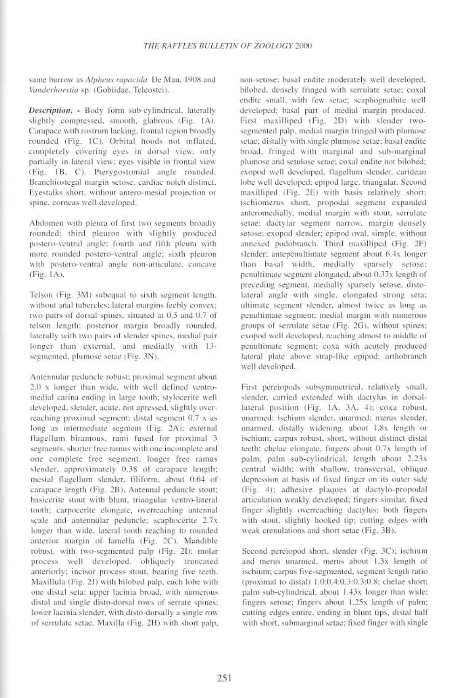same burrow as Alpheus rapacida De Man, 1908 and Vanderhorstia sp. (Gobiidae, Teleostei).

Description. - Body form sub-cylindrical, laterally slightly compressed, smooth, glabrous (Fig. 1A). Carapace with rostrum lacking, frontal region broadly rounded (Fig. 1C). Orbital hoods not inflated, completely covering eves in dorsal view, only partially in lateral view; eyes visible in frontal view (Fig. 1B, C). Ptervgostomial angle rounded. Branchiostegal margin setose, cardiac notch distinct. Evestalks short, without antero-mesial projection or spine, corneas well developed.

Abdomen with pleura of first two segments broadly rounded; third pleuron with slightly produced postero-ventral angle; fourth and fifth pleura with more rounded postero-ventral angle; sixth pleuron with postero-ventral angle non-articulate, concave (Fig. 1A).

Telson (Fig. 3M) subequal to sixth segment length, without anal tubercles; lateral margins feebly convex; two pairs of dorsal spines, situated at 0.5 and 0.7 of telson length; posterior margin broadly rounded, laterally with two pairs of slender spines, medial pair longer than external, and medially with 13segmented, plumose setae (Fig. 3N).

Antennular peduncle robust; proximal segment about 2.0 x longer than wide, with well defined ventromedial carina ending in large tooth; stylocerite well developed, slender, acute, not apressed, slightly overreaching proximal segment; distal segment 0.7 x as long as intermediate segment (Fig. 2A); external flagellum biramous, rami fused for proximal 3 segments, shorter free ramus with one incomplete and one complete free segment, longer free ramus slender, approximately 0.38 of carapace length; mesial flagellum slender, filiform, about 0.64 of carapace length (Fig. 2B). Antennal peduncle stout: basicerite stout with blunt, triangular ventro-lateral tooth; carpocerite elongate, overreaching antennal scale and antennular peduncle; scaphocerite 2.7x longer than wide, lateral tooth reaching to rounded anterior margin of lamella (Fig. 2C). Mandible robust, with two-segmented palp (Fig. 21); molar process well developed, obliquely trancated anteriorly; incisor process stout, bearing five teeth. Maxillula (Fig. 2J) with bilobed palp, each lobe with one distal seta; upper lacinia broad, with numerous distal and single disto-dorsal rows of serrate spines; lower lacinia slender, with disto-dorsally a single row of serrulate setae. Maxilla (Fig. 2H) with short palp, non-setose; basal endite moderately well developed. bilobed, denselv fringed with serrulate setae; coxal endite small, with few setae; scaphognathite well developed; basal part of medial margin produced. First maxilliped (Fig. 2D) with slender twosegmented palp, medial margin fringed with plumose setae, distally with single plumose setae; basal endite broad, fringed with marginal and sub-marginal plumose and setulose setae; coxal endite not bilobed; exopod well developed, flagellum slender, caridean lobe well developed; epipod large, triangular, Secondmaxilliped (Fig. 2E) with basis relatively short; ischiomerus short, propodal segment expanded anteromedially, medial margin with stout, serrulate setae; dactylar segment narrow, margin densely setose; exopod slender; epipod oval, simple, without annexed podobranch. Third maxilliped (Fig. 2F) slender: antepenultimate segment about 6.4x longer than basal width, medially sparsely setose; penultimate segment elongated, about 0.37x length of preceding segment, medially sparsely setose, distolateral angle with single, elongated strong seta; ultimate segment slender, almost twice as long as penultimate segment; medial margin with numerous groups of serrulate setae (Fig. 2G), without spines; exopod well developed, reaching almost to middle of penultimate segment; coxa with acutely produced lateral plate above strap-like epipod; arthobranch well developed.

First pereiopods subsymmetrical, relatively small, slender, carried extended with dactylus in dorsallateral position (Fig. 1A, 3A, 4); coxa robust, unarmed; ischium slender, unarmed; merus slender, unarmed, distally widening, about 1.8x length or ischium; carpus robust, short, without distinct distal teeth; chelae elongate. fingers about 0.7x length of palm, palm sub-cylindrical, length about 2.23x central width; with shallow, transversal, oblique depression at basis of fixed finger on its outer side (Fig. 4); adhesive plaques at dactylo-propodal articulation weakly developed; fingers similar, fixed finger slightly overreaching dactylus; both fingers with stout, slightly hooked tip; cutting edges with weak crenulations and short setae (Fig. 3B).

Second pereiopod short, slender (Fig. 3C); ischium and merus unarmed, merus about 1.3x length of ischium; carpus five-segmented, segment length ratio (proximal to distal) 1.0:0.4:0.3:0.3:0.8; chelae short: palm sub-cylindrical, about 1.43x longer than wide: fingers setose; fingers about 1.25x length of palm; cutting edges entire, ending in blunt tips, distal half with short, submarginal setae; fixed finger with single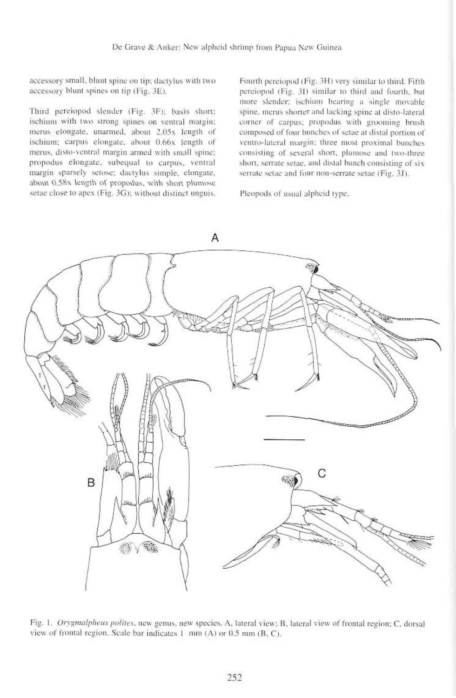accessory small, blunt spine on tip; dactylus with two accessory blunt spines on tip (Fig. 3E).

Third pereiopod slender (Fig. 3F); basis short; ischium with two strong spines on ventral margin; merus elongate, unarmed, about 2,05x length of ischium; carpus elongate, about 0.66x length of merus, disto-ventral margin armed with small spine; propodus elongate, subequal to carpus, ventral margin sparsely setose; dactylus simple, clongate, about 0.58x length of propodus, with short plumose setae close to apex (Fig. 3G); without distinct unguis.

Fourth pereiopod (Fig. 3H) very similar to third. Fifth pereiopod (Fig. 31) similar to third and fourth, but more slender; ischium bearing a single movable spine, merus shorter and lacking spine at disto-lateral corner of carpus; propodus with grooming brush composed of four bunches of setae at distal portion of ventro-lateral margin; three most proximal bunches consisting of several short, plumose and two-three short, serrate setae, and distal bunch consisting of six serrate setae and four non-serrate setae (Fig. 3J).

Pleopods of usual alpheid type,



Fig. 1. Orygmalpheus polites, new genus, new species. A, lateral view; B, lateral view of frontal region; C, dorsal view of frontal region. Scale bar indicates 1 mm (A) or 0.5 mm (B, C).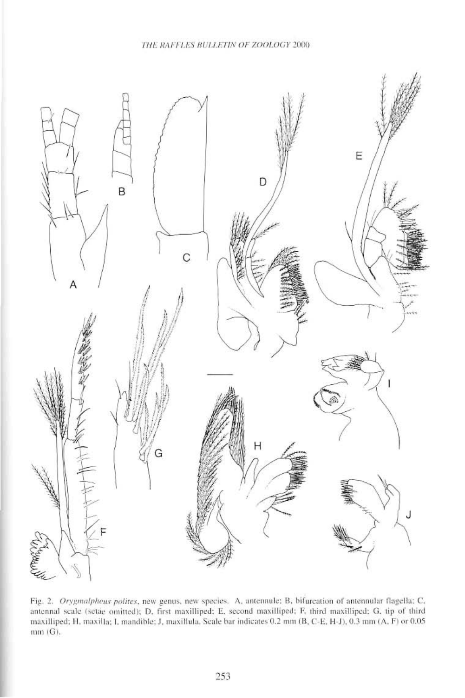

Fig. 2. Orygmalpheus polites, new genus, new species. A, antennule: B, bifurcation of antennular flagella: C, antennal scale (setae omitted); D, first maxilliped; E, second maxilliped; F, third maxilliped; G, tip of third maxilliped; H, maxilla; I, mandible; J, maxillula. Scale bar indicates 0.2 mm (B, C-E, H-J), 0.3 mm (A, F) or 0.05  $mm(G).$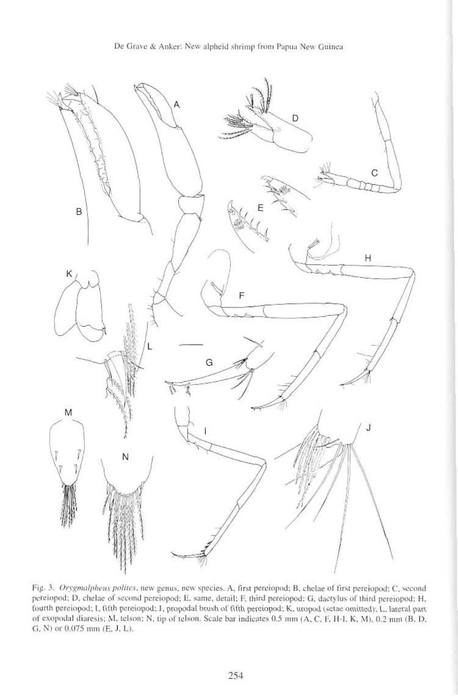

Fig. 3. Orygmalpheus polites, new genus, new species. A. first pereiopod; B, chelae of first pereiopod: C, second pereiopod: D. chelae of second pereiopod: E. same, detail: F, third pereiopod: G, dactylus of third pereiopod: H. fourth pereiopod; I, titth pereiopod; J, propodal brush of fifth pereiopod; K, uropod (setae omitted); L, lateral part of exopodal diaresis; M, telson; N, tip of telson. Scale bar indicates 0.5 mm (A, C, F, H-l, K, M), 0.2 mm (B, D, G,  $N$ ) or 0.075 mm (E, J, L).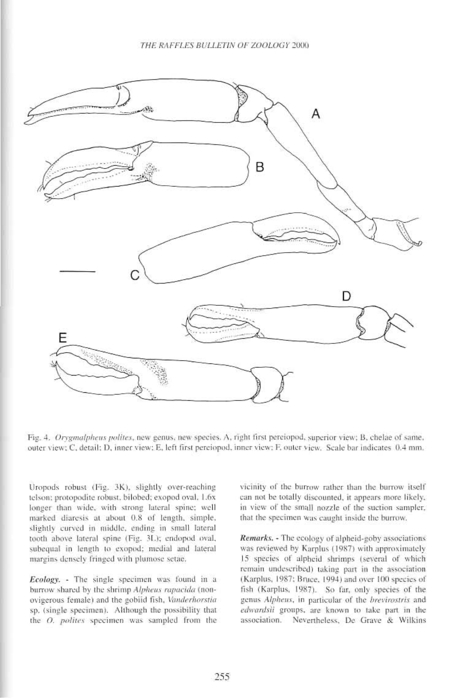

Fig. 4. Orygmalpheus polites, new genus, new species. A, right first pereiopod, superior view; B, chelae of same, outer view; C, detail; D, inner view; E, left first perciopod, inner view; F, outer view. Scale bar indicates 0.4 mm.

Uropods robust (Fig. 3K), slightly over-reaching telson; protopodite robust, bilobed; exopod oval, 1.6x longer than wide, with strong lateral spine; well marked diaresis at about 0.8 of length, simple, slightly curved in middle, ending in small lateral tooth above lateral spine (Fig. 3L); endopod oval, subequal in length to exopod; medial and lateral margins densely fringed with plumose setae.

Ecology. - The single specimen was found in a burrow shared by the shrimp Alpheus rapacida (nonovigerous female) and the gobiid fish, Vanderhorstia sp. (single specimen). Although the possibility that the O. polites specimen was sampled from the

vicinity of the burrow rather than the burrow itself can not be totally discounted, it appears more likely, in view of the small nozzle of the suction sampler. that the specimen was caught inside the burrow.

Remarks. - The ecology of alpheid-goby associations was reviewed by Karplus (1987) with approximately 15 species of alpheid shrimps (several of which remain undescribed) taking part in the association (Karplus, 1987; Bruce, 1994) and over 100 species of fish (Karplus, 1987). So far, only species of the genus Alpheus, in particular of the brevirostris and edwardsii groups, are known to take part in the association. Nevertheless, De Grave & Wilkins